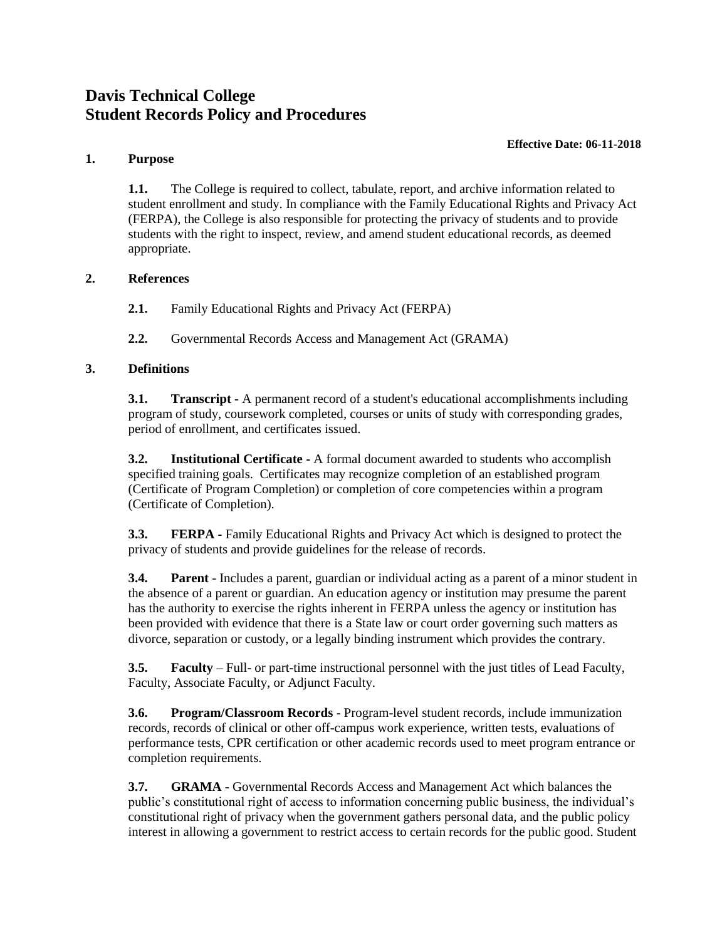# **Davis Technical College Student Records Policy and Procedures**

#### **Effective Date: 06-11-2018**

# **1. Purpose**

**1.1.** The College is required to collect, tabulate, report, and archive information related to student enrollment and study. In compliance with the Family Educational Rights and Privacy Act (FERPA), the College is also responsible for protecting the privacy of students and to provide students with the right to inspect, review, and amend student educational records, as deemed appropriate.

## **2. References**

**2.1.** Family Educational Rights and Privacy Act (FERPA)

**2.2.** Governmental Records Access and Management Act (GRAMA)

# **3. Definitions**

**3.1. Transcript** - A permanent record of a student's educational accomplishments including program of study, coursework completed, courses or units of study with corresponding grades, period of enrollment, and certificates issued.

**3.2. Institutional Certificate -** A formal document awarded to students who accomplish specified training goals. Certificates may recognize completion of an established program (Certificate of Program Completion) or completion of core competencies within a program (Certificate of Completion).

**3.3. FERPA -** Family Educational Rights and Privacy Act which is designed to protect the privacy of students and provide guidelines for the release of records.

**3.4. Parent** - Includes a parent, guardian or individual acting as a parent of a minor student in the absence of a parent or guardian. An education agency or institution may presume the parent has the authority to exercise the rights inherent in FERPA unless the agency or institution has been provided with evidence that there is a State law or court order governing such matters as divorce, separation or custody, or a legally binding instrument which provides the contrary.

**3.5. Faculty** – Full- or part-time instructional personnel with the just titles of Lead Faculty, Faculty, Associate Faculty, or Adjunct Faculty.

**3.6. Program/Classroom Records** - Program-level student records, include immunization records, records of clinical or other off-campus work experience, written tests, evaluations of performance tests, CPR certification or other academic records used to meet program entrance or completion requirements.

**3.7. GRAMA -** Governmental Records Access and Management Act which balances the public's constitutional right of access to information concerning public business, the individual's constitutional right of privacy when the government gathers personal data, and the public policy interest in allowing a government to restrict access to certain records for the public good. Student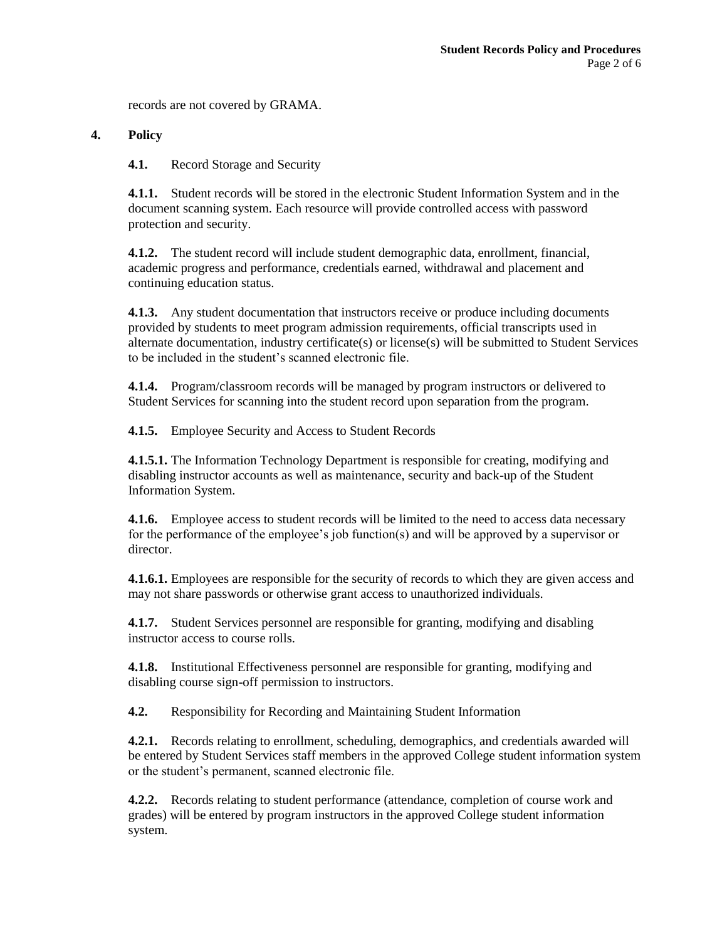records are not covered by GRAMA.

#### **4. Policy**

**4.1.** Record Storage and Security

**4.1.1.** Student records will be stored in the electronic Student Information System and in the document scanning system. Each resource will provide controlled access with password protection and security.

**4.1.2.** The student record will include student demographic data, enrollment, financial, academic progress and performance, credentials earned, withdrawal and placement and continuing education status.

**4.1.3.** Any student documentation that instructors receive or produce including documents provided by students to meet program admission requirements, official transcripts used in alternate documentation, industry certificate(s) or license(s) will be submitted to Student Services to be included in the student's scanned electronic file.

**4.1.4.** Program/classroom records will be managed by program instructors or delivered to Student Services for scanning into the student record upon separation from the program.

**4.1.5.** Employee Security and Access to Student Records

**4.1.5.1.** The Information Technology Department is responsible for creating, modifying and disabling instructor accounts as well as maintenance, security and back-up of the Student Information System.

**4.1.6.** Employee access to student records will be limited to the need to access data necessary for the performance of the employee's job function(s) and will be approved by a supervisor or director.

**4.1.6.1.** Employees are responsible for the security of records to which they are given access and may not share passwords or otherwise grant access to unauthorized individuals.

**4.1.7.** Student Services personnel are responsible for granting, modifying and disabling instructor access to course rolls.

**4.1.8.** Institutional Effectiveness personnel are responsible for granting, modifying and disabling course sign-off permission to instructors.

**4.2.** Responsibility for Recording and Maintaining Student Information

**4.2.1.** Records relating to enrollment, scheduling, demographics, and credentials awarded will be entered by Student Services staff members in the approved College student information system or the student's permanent, scanned electronic file.

**4.2.2.** Records relating to student performance (attendance, completion of course work and grades) will be entered by program instructors in the approved College student information system.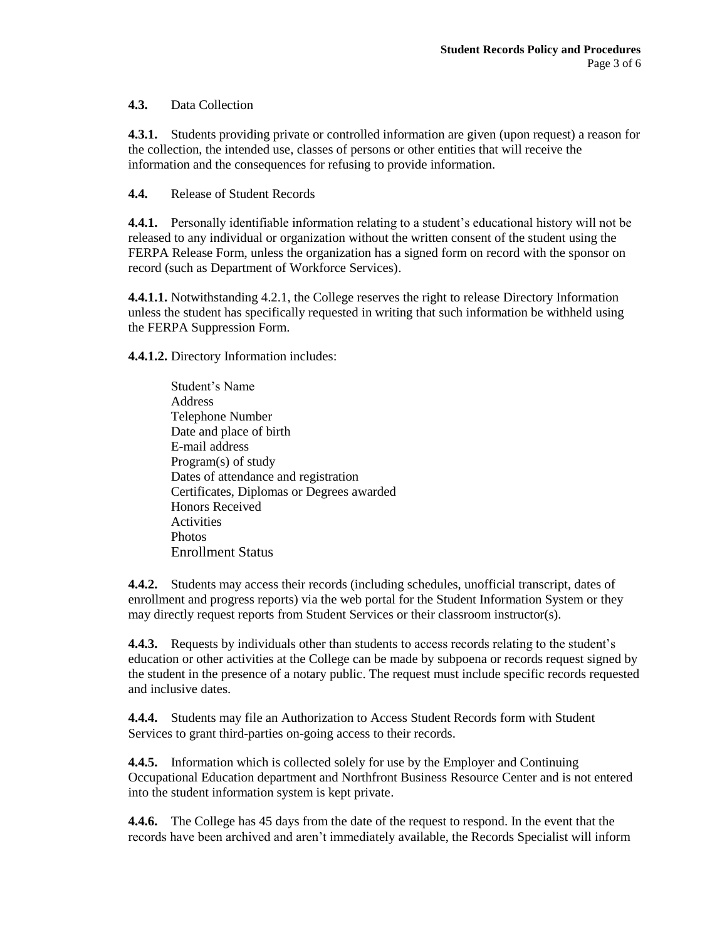## **4.3.** Data Collection

**4.3.1.** Students providing private or controlled information are given (upon request) a reason for the collection, the intended use, classes of persons or other entities that will receive the information and the consequences for refusing to provide information.

**4.4.** Release of Student Records

**4.4.1.** Personally identifiable information relating to a student's educational history will not be released to any individual or organization without the written consent of the student using the FERPA Release Form, unless the organization has a signed form on record with the sponsor on record (such as Department of Workforce Services).

**4.4.1.1.** Notwithstanding 4.2.1, the College reserves the right to release Directory Information unless the student has specifically requested in writing that such information be withheld using the FERPA Suppression Form.

**4.4.1.2.** Directory Information includes:

Student's Name **Address** Telephone Number Date and place of birth E-mail address Program(s) of study Dates of attendance and registration Certificates, Diplomas or Degrees awarded Honors Received **Activities** Photos Enrollment Status

**4.4.2.** Students may access their records (including schedules, unofficial transcript, dates of enrollment and progress reports) via the web portal for the Student Information System or they may directly request reports from Student Services or their classroom instructor(s).

**4.4.3.** Requests by individuals other than students to access records relating to the student's education or other activities at the College can be made by subpoena or records request signed by the student in the presence of a notary public. The request must include specific records requested and inclusive dates.

**4.4.4.** Students may file an Authorization to Access Student Records form with Student Services to grant third-parties on-going access to their records.

**4.4.5.** Information which is collected solely for use by the Employer and Continuing Occupational Education department and Northfront Business Resource Center and is not entered into the student information system is kept private.

**4.4.6.** The College has 45 days from the date of the request to respond. In the event that the records have been archived and aren't immediately available, the Records Specialist will inform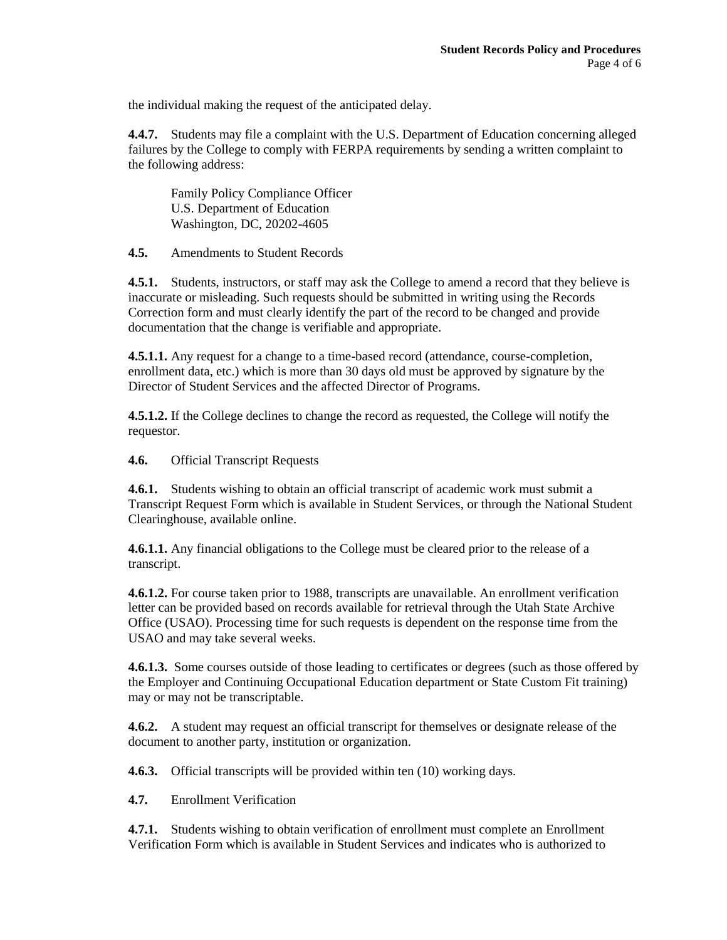the individual making the request of the anticipated delay.

**4.4.7.** Students may file a complaint with the U.S. Department of Education concerning alleged failures by the College to comply with FERPA requirements by sending a written complaint to the following address:

Family Policy Compliance Officer U.S. Department of Education Washington, DC, 20202-4605

**4.5.** Amendments to Student Records

**4.5.1.** Students, instructors, or staff may ask the College to amend a record that they believe is inaccurate or misleading. Such requests should be submitted in writing using the Records Correction form and must clearly identify the part of the record to be changed and provide documentation that the change is verifiable and appropriate.

**4.5.1.1.** Any request for a change to a time-based record (attendance, course-completion, enrollment data, etc.) which is more than 30 days old must be approved by signature by the Director of Student Services and the affected Director of Programs.

**4.5.1.2.** If the College declines to change the record as requested, the College will notify the requestor.

**4.6.** Official Transcript Requests

**4.6.1.** Students wishing to obtain an official transcript of academic work must submit a Transcript Request Form which is available in Student Services, or through the National Student Clearinghouse, available online.

**4.6.1.1.** Any financial obligations to the College must be cleared prior to the release of a transcript.

**4.6.1.2.** For course taken prior to 1988, transcripts are unavailable. An enrollment verification letter can be provided based on records available for retrieval through the Utah State Archive Office (USAO). Processing time for such requests is dependent on the response time from the USAO and may take several weeks.

**4.6.1.3.** Some courses outside of those leading to certificates or degrees (such as those offered by the Employer and Continuing Occupational Education department or State Custom Fit training) may or may not be transcriptable.

**4.6.2.** A student may request an official transcript for themselves or designate release of the document to another party, institution or organization.

**4.6.3.** Official transcripts will be provided within ten (10) working days.

**4.7.** Enrollment Verification

**4.7.1.** Students wishing to obtain verification of enrollment must complete an Enrollment Verification Form which is available in Student Services and indicates who is authorized to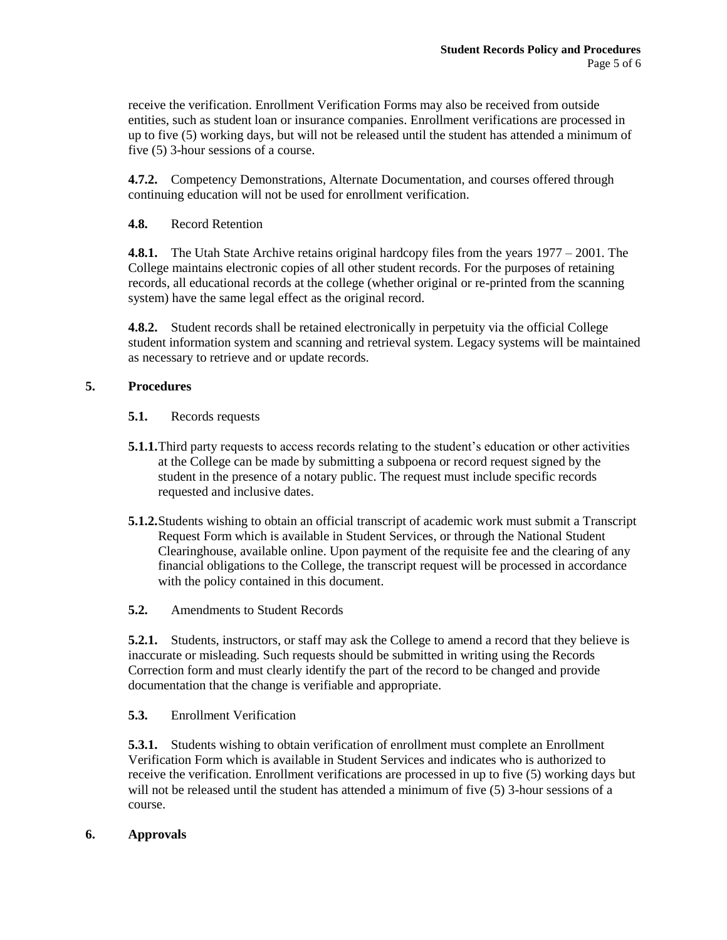receive the verification. Enrollment Verification Forms may also be received from outside entities, such as student loan or insurance companies. Enrollment verifications are processed in up to five (5) working days, but will not be released until the student has attended a minimum of five (5) 3-hour sessions of a course.

**4.7.2.** Competency Demonstrations, Alternate Documentation, and courses offered through continuing education will not be used for enrollment verification.

## **4.8.** Record Retention

**4.8.1.** The Utah State Archive retains original hardcopy files from the years 1977 – 2001. The College maintains electronic copies of all other student records. For the purposes of retaining records, all educational records at the college (whether original or re-printed from the scanning system) have the same legal effect as the original record.

**4.8.2.** Student records shall be retained electronically in perpetuity via the official College student information system and scanning and retrieval system. Legacy systems will be maintained as necessary to retrieve and or update records.

#### **5. Procedures**

## **5.1.** Records requests

- **5.1.1.**Third party requests to access records relating to the student's education or other activities at the College can be made by submitting a subpoena or record request signed by the student in the presence of a notary public. The request must include specific records requested and inclusive dates.
- **5.1.2.**Students wishing to obtain an official transcript of academic work must submit a Transcript Request Form which is available in Student Services, or through the National Student Clearinghouse, available online. Upon payment of the requisite fee and the clearing of any financial obligations to the College, the transcript request will be processed in accordance with the policy contained in this document.
- **5.2.** Amendments to Student Records

**5.2.1.** Students, instructors, or staff may ask the College to amend a record that they believe is inaccurate or misleading. Such requests should be submitted in writing using the Records Correction form and must clearly identify the part of the record to be changed and provide documentation that the change is verifiable and appropriate.

# **5.3.** Enrollment Verification

**5.3.1.** Students wishing to obtain verification of enrollment must complete an Enrollment Verification Form which is available in Student Services and indicates who is authorized to receive the verification. Enrollment verifications are processed in up to five (5) working days but will not be released until the student has attended a minimum of five (5) 3-hour sessions of a course.

#### **6. Approvals**